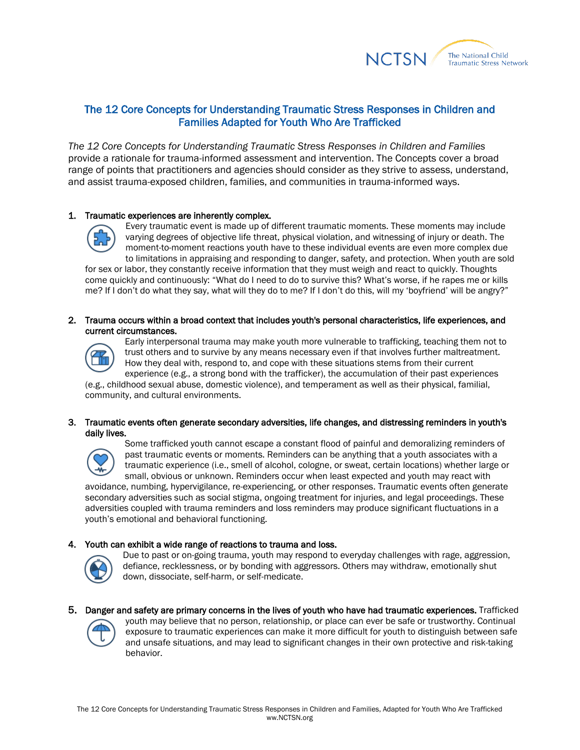

# [The 12 Core Concepts for Understanding Traumatic Stress Responses in Children and](http://nctsn.org/resources/audiences/parents-caregivers/what-is-cts/12-core-concepts)  [Families](http://nctsn.org/resources/audiences/parents-caregivers/what-is-cts/12-core-concepts) Adapted for Youth Who Are Trafficked

*The 12 Core Concepts for [Understanding](http://nctsn.org/resources/audiences/parents-caregivers/what-is-cts/12-core-concepts) Traumatic Stress Responses in Children and Families* provide a rationale for trauma-informed assessment and intervention. The Concepts cover a broad range of points that practitioners and agencies should consider as they strive to assess, understand, and assist trauma-exposed children, families, and communities in trauma-informed ways.

### 1. Traumatic experiences are inherently complex.



Every traumatic event is made up of different traumatic moments. These moments may include varying degrees of objective life threat, physical violation, and witnessing of injury or death. The moment-to-moment reactions youth have to these individual events are even more complex due to limitations in appraising and responding to danger, safety, and protection. When youth are sold

for sex or labor, they constantly receive information that they must weigh and react to quickly. Thoughts come quickly and continuously: "What do I need to do to survive this? What's worse, if he rapes me or kills me? If I don't do what they say, what will they do to me? If I don't do this, will my 'boyfriend' will be angry?"

## 2. Trauma occurs within a broad context that includes youth's personal characteristics, life experiences, and current circumstances.



Early interpersonal trauma may make youth more vulnerable to trafficking, teaching them not to trust others and to survive by any means necessary even if that involves further maltreatment. How they deal with, respond to, and cope with these situations stems from their current experience (e.g., a strong bond with the trafficker), the accumulation of their past experiences

(e.g., childhood sexual abuse, domestic violence), and temperament as well as their physical, familial, community, and cultural environments.

### 3. Traumatic events often generate secondary adversities, life changes, and distressing reminders in youth's daily lives.



Some trafficked youth cannot escape a constant flood of painful and demoralizing reminders of past traumatic events or moments. Reminders can be anything that a youth associates with a traumatic experience (i.e., smell of alcohol, cologne, or sweat, certain locations) whether large or small, obvious or unknown. Reminders occur when least expected and youth may react with

avoidance, numbing, hypervigilance, re-experiencing, or other responses. Traumatic events often generate secondary adversities such as social stigma, ongoing treatment for injuries, and legal proceedings. These adversities coupled with trauma reminders and loss reminders may produce significant fluctuations in a youth's emotional and behavioral functioning.

# 4. Youth can exhibit a wide range of reactions to trauma and loss.



Due to past or on-going trauma, youth may respond to everyday challenges with rage, aggression, defiance, recklessness, or by bonding with aggressors. Others may withdraw, emotionally shut down, dissociate, self-harm, or self-medicate.

5. Danger and safety are primary concerns in the lives of youth who have had traumatic experiences. Trafficked



youth may believe that no person, relationship, or place can ever be safe or trustworthy. Continual exposure to traumatic experiences can make it more difficult for youth to distinguish between safe and unsafe situations, and may lead to significant changes in their own protective and risk-taking behavior.